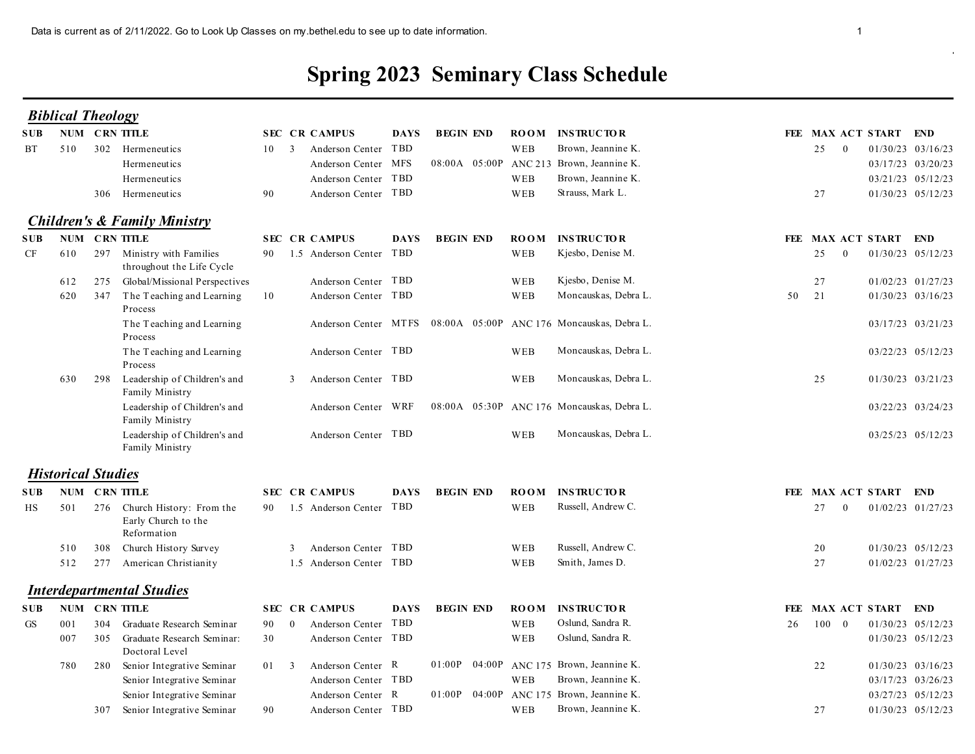## Spring 2023 Seminary Class Schedule

|            |     |                                                                    |                                                              |              |                                                 |             |                       |             | <b>Spring 2023 Seminary Class Schedule</b>                         |    |                      |                                        |  |
|------------|-----|--------------------------------------------------------------------|--------------------------------------------------------------|--------------|-------------------------------------------------|-------------|-----------------------|-------------|--------------------------------------------------------------------|----|----------------------|----------------------------------------|--|
|            |     | <b>Biblical Theology</b>                                           |                                                              |              |                                                 |             |                       |             |                                                                    |    |                      |                                        |  |
| SUB-       |     | NUM CRN TITLE                                                      |                                                              |              | <b>SEC CR CAMPUS</b>                            | <b>DAYS</b> | <b>BEGIN END</b>      | <b>ROOM</b> | <b>INSTRUCTOR</b>                                                  |    |                      | FEE MAX ACT START END                  |  |
| BT         | 510 | 302 Hermeneutics<br>Hermeneutics                                   |                                                              | $10 \quad 3$ | Anderson Center TBD<br>Anderson Center MFS      |             | 08:00A 05:00P ANC 213 | WEB         | Brown, Jeannine K.<br>Brown, Jeannine K.                           |    | 25<br>$\overline{0}$ | 01/30/23 03/16/23<br>03/17/23 03/20/23 |  |
|            |     | Hermeneutics                                                       |                                                              |              | Anderson Center TBD                             |             |                       | WEB         | Brown, Jeannine K.                                                 |    |                      | 03/21/23 05/12/23                      |  |
|            |     | 306 Hermeneutics                                                   |                                                              | 90           | Anderson Center TBD                             |             |                       | WEB         | Strauss, Mark L.                                                   |    | 27                   | 01/30/23 05/12/23                      |  |
|            |     | <b>Children's &amp; Family Ministry</b>                            |                                                              |              |                                                 |             |                       |             |                                                                    |    |                      |                                        |  |
| SUB-       |     | NUM CRN TITLE                                                      |                                                              |              | <b>SEC CR CAMPUS</b>                            | <b>DAYS</b> | <b>BEGIN END</b>      | <b>ROOM</b> | <b>INSTRUCTOR</b>                                                  |    |                      | FEE MAX ACT START END                  |  |
| CF         | 610 | 297 Ministry with Families                                         | throughout the Life Cycle                                    | 90           | 1.5 Anderson Center TBD                         |             |                       | WEB         | Kjesbo, Denise M.                                                  |    | 25<br>$\theta$       | 01/30/23 05/12/23                      |  |
|            | 612 | 275                                                                | Global/Missional Perspectives                                |              | Anderson Center TBD                             |             |                       | WEB         | Kjesbo, Denise M.                                                  |    | 27                   | 01/02/23 01/27/23                      |  |
|            | 620 | 347 The Teaching and Learning<br>Process                           |                                                              | 10           | Anderson Center TBD                             |             |                       | WEB         | Moncauskas, Debra L.                                               | 50 | 21                   | 01/30/23 03/16/23                      |  |
|            |     | Process                                                            | The Teaching and Learning                                    |              |                                                 |             |                       |             | Anderson Center MTFS 08:00A 05:00P ANC 176 Moncauskas, Debra L.    |    |                      | 03/17/23 03/21/23                      |  |
|            |     | Process                                                            | The Teaching and Learning                                    |              | Anderson Center TBD                             |             |                       | WEB         | Moncauskas, Debra L                                                |    |                      | 03/22/23 05/12/23                      |  |
|            | 630 | 298<br>Family Ministry                                             | Leadership of Children's and<br>Leadership of Children's and |              | Anderson Center TBD<br>3<br>Anderson Center WRF |             |                       | WEB         | Moncauskas, Debra L.<br>08:00A 05:30P ANC 176 Moncauskas, Debra L. |    | 25                   | 01/30/23 03/21/23<br>03/22/23 03/24/23 |  |
|            |     | Family Ministry                                                    | Leadership of Children's and                                 |              | Anderson Center TBD                             |             |                       | WEB         | Moncauskas, Debra L.                                               |    |                      | 03/25/23 05/12/23                      |  |
|            |     | Family Ministry                                                    |                                                              |              |                                                 |             |                       |             |                                                                    |    |                      |                                        |  |
|            |     | <b>Historical Studies</b>                                          |                                                              |              |                                                 |             |                       |             |                                                                    |    |                      |                                        |  |
| SUB-       |     | <b>NUM CRN TITLE</b>                                               |                                                              |              | <b>SEC CR CAMPUS</b>                            | <b>DAYS</b> | <b>BEGIN END</b>      | <b>ROOM</b> | <b>INSTRUCTOR</b>                                                  |    |                      | FEE MAX ACT START END                  |  |
| HS         | 501 | 276 Church History: From the<br>Early Church to the<br>Reformation |                                                              |              | 90 1.5 Anderson Center TBD                      |             |                       | WEB         | Russell, Andrew C.                                                 |    | 27<br>$\overline{0}$ | 01/02/23 01/27/23                      |  |
|            | 510 | 308 Church History Survey                                          |                                                              |              | 3 Anderson Center TBD                           |             |                       | WEB         | Russell, Andrew C.                                                 |    | 20                   | 01/30/23 05/12/23                      |  |
|            | 512 | 277 American Christianity                                          |                                                              |              | 1.5 Anderson Center TBD                         |             |                       | WEB         | Smith, James D.                                                    |    | 27                   | 01/02/23 01/27/23                      |  |
|            |     | <b>Interdepartmental Studies</b>                                   |                                                              |              |                                                 |             |                       |             |                                                                    |    |                      |                                        |  |
| <b>SUB</b> |     | NUM CRN TITLE                                                      |                                                              |              | <b>SEC CR CAMPUS</b>                            | <b>DAYS</b> | <b>BEGIN END</b>      | <b>ROOM</b> | <b>INSTRUCTOR</b>                                                  |    |                      | FEE MAX ACT START END                  |  |
| GS         | 001 | 304 Graduate Research Seminar                                      |                                                              | 90           | Anderson Center TBD<br>$\overline{0}$           |             |                       | WEB         | Oslund, Sandra R.                                                  | 26 | $100 \quad 0$        | 01/30/23 05/12/23                      |  |
|            | 007 | 305<br>Doctoral Level                                              | Graduate Research Seminar:                                   | 30           | Anderson Center TBD                             |             |                       | WEB         | Oslund, Sandra R.                                                  |    |                      | 01/30/23 05/12/23                      |  |
|            | 780 | 280 Senior Integrative Seminar                                     |                                                              | 01 3         | Anderson Center R                               |             |                       |             | 01:00P 04:00P ANC 175 Brown, Jeannine K.                           |    | 22                   | 01/30/23 03/16/23                      |  |
|            |     |                                                                    | Senior Integrative Seminar                                   |              | Anderson Center TBD                             |             |                       | WEB         | Brown, Jeannine K.                                                 |    |                      | 03/17/23 03/26/23                      |  |
|            |     |                                                                    | Senior Integrative Seminar                                   |              | Anderson Center R                               |             |                       |             | 01:00P 04:00P ANC 175 Brown, Jeannine K.                           |    |                      | 03/27/23 05/12/23                      |  |
|            |     | Senior Integrative Seminar<br>307                                  |                                                              | 90           | Anderson Center TBD                             |             |                       | WEB         | Brown, Jeannine K.                                                 |    | 27                   | 01/30/23 05/12/23                      |  |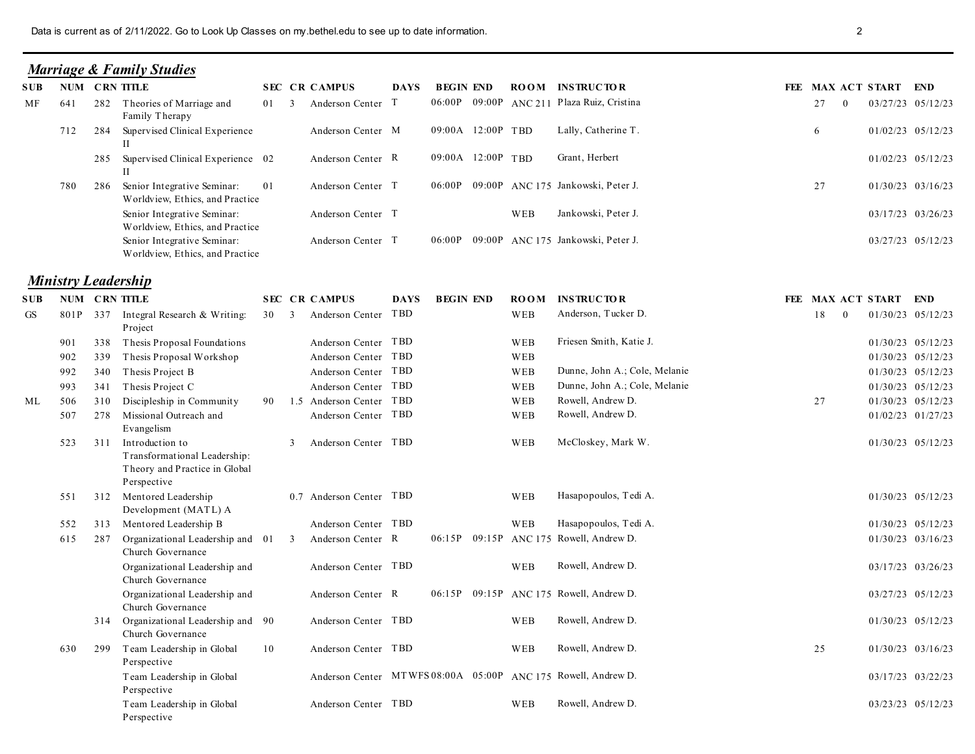## Marriage & Family Studies

|      |     |     | Data is current as of 2/11/2022. Go to Look Up Classes on my bethel edu to see up to date information. |    |              |                            |             |                   |             |                                            |                      | $\overline{2}$        |                   |
|------|-----|-----|--------------------------------------------------------------------------------------------------------|----|--------------|----------------------------|-------------|-------------------|-------------|--------------------------------------------|----------------------|-----------------------|-------------------|
|      |     |     |                                                                                                        |    |              |                            |             |                   |             |                                            |                      |                       |                   |
|      |     |     | <b>Marriage &amp; Family Studies</b>                                                                   |    |              |                            |             |                   |             |                                            |                      |                       |                   |
| SUB- |     |     | NUM CRN TITLE                                                                                          |    |              | <b>SEC CR CAMPUS</b>       | DAYS        | <b>BEGIN END</b>  |             | <b>ROOM INSTRUCTOR</b>                     |                      | FEE MAX ACT START END |                   |
| MF   | 641 |     | 282 Theories of Marriage and<br>Family Therapy                                                         |    | 01 3         | Anderson Center T          |             |                   |             | 06:00P 09:00P ANC 211 Plaza Ruiz, Cristina | 27<br>$\theta$       |                       | 03/27/23 05/12/23 |
|      | 712 | 284 | Supervised Clinical Experience                                                                         |    |              | Anderson Center M          |             | 09:00A 12:00P TBD |             | Lally, Catherine T.                        | -6                   |                       | 01/02/23 05/12/23 |
|      |     |     | 285 Supervised Clinical Experience 02                                                                  |    |              | Anderson Center R          |             | 09:00A 12:00P TBD |             | Grant, Herbert                             |                      |                       | 01/02/23 05/12/23 |
|      | 780 | 286 | Senior Integrative Seminar:<br>Worldview, Ethics, and Practice                                         | 01 |              | Anderson Center T          |             |                   |             | 06:00P 09:00P ANC 175 Jankowski, Peter J.  | 27                   |                       | 01/30/23 03/16/23 |
|      |     |     | Senior Integrative Seminar:<br>Worldview, Ethics, and Practice                                         |    |              | Anderson Center T          |             |                   | WEB         | Jankowski, Peter J.                        |                      |                       | 03/17/23 03/26/23 |
|      |     |     | Senior Integrative Seminar:<br>Worldview, Ethics, and Practice                                         |    |              | Anderson Center T          |             |                   |             | 06:00P 09:00P ANC 175 Jankowski, Peter J.  |                      |                       | 03/27/23 05/12/23 |
|      |     |     | <b>Ministry Leadership</b>                                                                             |    |              |                            |             |                   |             |                                            |                      |                       |                   |
| SUB- |     |     | NUM CRN TITLE                                                                                          |    |              | <b>SEC CR CAMPUS</b>       | <b>DAYS</b> | <b>BEGIN END</b>  | <b>ROOM</b> | <b>INSTRUCTOR</b>                          |                      | FEE MAX ACT START END |                   |
| GS   |     |     | 801P 337 Integral Research & Writing:<br>Project                                                       |    |              | 30 3 Anderson Center TBD   |             |                   | WEB         | Anderson, Tucker D.                        | 18<br>$\overline{0}$ |                       | 01/30/23 05/12/23 |
|      | 901 |     | 338 Thesis Proposal Foundations                                                                        |    |              | Anderson Center TBD        |             |                   | WEB         | Friesen Smith, Katie J.                    |                      |                       | 01/30/23 05/12/23 |
|      | 902 | 339 | Thesis Proposal Workshop                                                                               |    |              | Anderson Center TBD        |             |                   | WEB         |                                            |                      |                       | 01/30/23 05/12/23 |
|      | 992 |     | 340 Thesis Project B                                                                                   |    |              | Anderson Center TBD        |             |                   | WEB         | Dunne, John A.; Cole, Melanie              |                      |                       | 01/30/23 05/12/23 |
|      | 993 |     | 341 Thesis Project C                                                                                   |    |              | Anderson Center TBD        |             |                   | WEB         | Dunne, John A.; Cole, Melanie              |                      |                       | 01/30/23 05/12/23 |
| ML   | 506 | 310 | Discipleship in Community                                                                              |    |              | 90 1.5 Anderson Center TBD |             |                   | WEB         | Rowell, Andrew D.                          | 27                   |                       | 01/30/23 05/12/23 |
|      | 507 | 278 | Missional Outreach and<br>Evangelism                                                                   |    |              | Anderson Center TBD        |             |                   | WEB         | Rowell, Andrew D.                          |                      |                       | 01/02/23 01/27/23 |
|      |     |     | 523 311 Introduction to<br>Transformational Leadership:<br>Thomas and Departise in Clopel              |    | $\mathbf{3}$ | Anderson Center TBD        |             |                   | WEB         | McCloskey, Mark W.                         |                      |                       | 01/30/23 05/12/23 |

## **Ministry Leadership**

| 06:00P 09:00P ANC 211 Plaza Ruiz, Cristina<br>MF<br>Theories of Marriage and<br>27<br>03/27/23 05/12/23<br>282<br>Anderson Center T<br>641<br>01<br>$\overline{\mathbf{3}}$<br>Family Therapy<br>09:00A 12:00P TBD<br>Lally, Catherine T.<br>Supervised Clinical Experience<br>Anderson Center M<br>01/02/23 05/12/23<br>712<br>284<br>6<br>П<br>09:00A 12:00P TBD<br>Grant, Herbert<br>Supervised Clinical Experience 02<br>Anderson Center R<br>$01/02/23$ $05/12/23$<br>285<br>П<br>06:00P 09:00P ANC 175 Jankowski, Peter J.<br>Senior Integrative Seminar:<br>01<br>Anderson Center T<br>27<br>01/30/23 03/16/23<br>286<br>780<br>Worldview, Ethics, and Practice<br>Jankowski, Peter J.<br>Senior Integrative Seminar:<br>Anderson Center T<br>WEB<br>03/17/23 03/26/23<br>Worldview, Ethics, and Practice<br>06:00P 09:00P ANC 175 Jankowski, Peter J.<br>Senior Integrative Seminar:<br>Anderson Center T<br>03/27/23 05/12/23<br>Worldview, Ethics, and Practice<br><b>Ministry Leadership</b><br>NUM CRN TITLE<br><b>INSTRUCTOR</b><br><b>SEC CR CAMPUS</b><br><b>BEGIN END</b><br>FEE MAX ACT START END<br><b>DAYS</b><br><b>ROOM</b><br>Anderson Center TBD<br>Anderson, Tucker D.<br>801P 337<br>WEB<br>18<br>01/30/23 05/12/23<br><b>GS</b><br>Integral Research & Writing:<br>30 3<br>$\overline{0}$<br>Project<br>Friesen Smith, Katie J.<br>Thesis Proposal Foundations<br>Anderson Center TBD<br>WEB<br>01/30/23 05/12/23<br>901<br>338<br>Anderson Center TBD<br>Thesis Proposal Workshop<br>WEB<br>01/30/23 05/12/23<br>339<br>902<br>Anderson Center TBD<br>Dunne, John A.; Cole, Melanie<br>WEB<br>Thesis Project B<br>01/30/23 05/12/23<br>992<br>340<br>Anderson Center TBD<br>Dunne, John A.; Cole, Melanie<br>Thesis Project C<br>WEB<br>01/30/23 05/12/23<br>993<br>341<br>90 1.5 Anderson Center TBD<br>Rowell, Andrew D.<br>Discipleship in Community<br>WEB<br>27<br>01/30/23 05/12/23<br>506<br>310<br>Anderson Center TBD<br>Rowell, Andrew D.<br>Missional Outreach and<br>01/02/23 01/27/23<br>507<br>278<br>WEB<br>Evangelism<br>McCloskey, Mark W.<br>Anderson Center TBD<br>Introduction to<br>WEB<br>523<br>311<br>01/30/23 05/12/23<br>3<br>Transformational Leadership:<br>Theory and Practice in Global<br>Perspective<br>Mentored Leadership<br>0.7 Anderson Center TBD<br>Hasapopoulos, Tedi A.<br>WEB<br>01/30/23 05/12/23<br>551<br>312<br>Development (MATL) A<br>Hasapopoulos, Tedi A.<br>Mentored Leadership B<br>Anderson Center TBD<br>WEB<br>01/30/23 05/12/23<br>552<br>313<br>06:15P 09:15P ANC 175 Rowell, Andrew D.<br>287<br>Organizational Leadership and 01<br>Anderson Center R<br>01/30/23 03/16/23<br>615<br>3<br>Church Governance<br>Anderson Center TBD<br>Rowell, Andrew D.<br>Organizational Leadership and<br>WEB<br>03/17/23 03/26/23<br>Church Governance<br>06:15P 09:15P ANC 175 Rowell, Andrew D.<br>Organizational Leadership and<br>Anderson Center R<br>03/27/23 05/12/23<br>Church Governance<br>Rowell, Andrew D.<br>Anderson Center TBD<br>01/30/23 05/12/23<br>314 Organizational Leadership and 90<br>WEB<br>Church Governance<br>Anderson Center TBD<br>Rowell, Andrew D.<br>Team Leadership in Global<br>10<br>WEB<br>25<br>01/30/23 03/16/23<br>630<br>299<br>Perspective<br>Anderson Center MTWFS 08:00A 05:00P ANC 175 Rowell, Andrew D.<br>Team Leadership in Global<br>03/17/23 03/22/23<br>Perspective<br>Rowell, Andrew D.<br>Anderson Center TBD<br>Team Leadership in Global<br>WEB<br>03/23/23 05/12/23<br>Perspective | SUB | NUM CRN TITLE |  |  | <b>SEC CR CAMPUS</b> | <b>DAYS</b> | <b>BEGIN END</b> | <b>ROOM</b> | <b>INSTRUCTOR</b> |  | FEE MAX ACT START | <b>END</b> |
|--------------------------------------------------------------------------------------------------------------------------------------------------------------------------------------------------------------------------------------------------------------------------------------------------------------------------------------------------------------------------------------------------------------------------------------------------------------------------------------------------------------------------------------------------------------------------------------------------------------------------------------------------------------------------------------------------------------------------------------------------------------------------------------------------------------------------------------------------------------------------------------------------------------------------------------------------------------------------------------------------------------------------------------------------------------------------------------------------------------------------------------------------------------------------------------------------------------------------------------------------------------------------------------------------------------------------------------------------------------------------------------------------------------------------------------------------------------------------------------------------------------------------------------------------------------------------------------------------------------------------------------------------------------------------------------------------------------------------------------------------------------------------------------------------------------------------------------------------------------------------------------------------------------------------------------------------------------------------------------------------------------------------------------------------------------------------------------------------------------------------------------------------------------------------------------------------------------------------------------------------------------------------------------------------------------------------------------------------------------------------------------------------------------------------------------------------------------------------------------------------------------------------------------------------------------------------------------------------------------------------------------------------------------------------------------------------------------------------------------------------------------------------------------------------------------------------------------------------------------------------------------------------------------------------------------------------------------------------------------------------------------------------------------------------------------------------------------------------------------------------------------------------------------------------------------------------------------------------------------------------------------------------------------------------------------------------------------------------------------------------------------------------------------------------------------------------------------------------------------------------------------------|-----|---------------|--|--|----------------------|-------------|------------------|-------------|-------------------|--|-------------------|------------|
| SUB-<br>ML                                                                                                                                                                                                                                                                                                                                                                                                                                                                                                                                                                                                                                                                                                                                                                                                                                                                                                                                                                                                                                                                                                                                                                                                                                                                                                                                                                                                                                                                                                                                                                                                                                                                                                                                                                                                                                                                                                                                                                                                                                                                                                                                                                                                                                                                                                                                                                                                                                                                                                                                                                                                                                                                                                                                                                                                                                                                                                                                                                                                                                                                                                                                                                                                                                                                                                                                                                                                                                                                                                         |     |               |  |  |                      |             |                  |             |                   |  |                   |            |
|                                                                                                                                                                                                                                                                                                                                                                                                                                                                                                                                                                                                                                                                                                                                                                                                                                                                                                                                                                                                                                                                                                                                                                                                                                                                                                                                                                                                                                                                                                                                                                                                                                                                                                                                                                                                                                                                                                                                                                                                                                                                                                                                                                                                                                                                                                                                                                                                                                                                                                                                                                                                                                                                                                                                                                                                                                                                                                                                                                                                                                                                                                                                                                                                                                                                                                                                                                                                                                                                                                                    |     |               |  |  |                      |             |                  |             |                   |  |                   |            |
|                                                                                                                                                                                                                                                                                                                                                                                                                                                                                                                                                                                                                                                                                                                                                                                                                                                                                                                                                                                                                                                                                                                                                                                                                                                                                                                                                                                                                                                                                                                                                                                                                                                                                                                                                                                                                                                                                                                                                                                                                                                                                                                                                                                                                                                                                                                                                                                                                                                                                                                                                                                                                                                                                                                                                                                                                                                                                                                                                                                                                                                                                                                                                                                                                                                                                                                                                                                                                                                                                                                    |     |               |  |  |                      |             |                  |             |                   |  |                   |            |
|                                                                                                                                                                                                                                                                                                                                                                                                                                                                                                                                                                                                                                                                                                                                                                                                                                                                                                                                                                                                                                                                                                                                                                                                                                                                                                                                                                                                                                                                                                                                                                                                                                                                                                                                                                                                                                                                                                                                                                                                                                                                                                                                                                                                                                                                                                                                                                                                                                                                                                                                                                                                                                                                                                                                                                                                                                                                                                                                                                                                                                                                                                                                                                                                                                                                                                                                                                                                                                                                                                                    |     |               |  |  |                      |             |                  |             |                   |  |                   |            |
|                                                                                                                                                                                                                                                                                                                                                                                                                                                                                                                                                                                                                                                                                                                                                                                                                                                                                                                                                                                                                                                                                                                                                                                                                                                                                                                                                                                                                                                                                                                                                                                                                                                                                                                                                                                                                                                                                                                                                                                                                                                                                                                                                                                                                                                                                                                                                                                                                                                                                                                                                                                                                                                                                                                                                                                                                                                                                                                                                                                                                                                                                                                                                                                                                                                                                                                                                                                                                                                                                                                    |     |               |  |  |                      |             |                  |             |                   |  |                   |            |
|                                                                                                                                                                                                                                                                                                                                                                                                                                                                                                                                                                                                                                                                                                                                                                                                                                                                                                                                                                                                                                                                                                                                                                                                                                                                                                                                                                                                                                                                                                                                                                                                                                                                                                                                                                                                                                                                                                                                                                                                                                                                                                                                                                                                                                                                                                                                                                                                                                                                                                                                                                                                                                                                                                                                                                                                                                                                                                                                                                                                                                                                                                                                                                                                                                                                                                                                                                                                                                                                                                                    |     |               |  |  |                      |             |                  |             |                   |  |                   |            |
|                                                                                                                                                                                                                                                                                                                                                                                                                                                                                                                                                                                                                                                                                                                                                                                                                                                                                                                                                                                                                                                                                                                                                                                                                                                                                                                                                                                                                                                                                                                                                                                                                                                                                                                                                                                                                                                                                                                                                                                                                                                                                                                                                                                                                                                                                                                                                                                                                                                                                                                                                                                                                                                                                                                                                                                                                                                                                                                                                                                                                                                                                                                                                                                                                                                                                                                                                                                                                                                                                                                    |     |               |  |  |                      |             |                  |             |                   |  |                   |            |
|                                                                                                                                                                                                                                                                                                                                                                                                                                                                                                                                                                                                                                                                                                                                                                                                                                                                                                                                                                                                                                                                                                                                                                                                                                                                                                                                                                                                                                                                                                                                                                                                                                                                                                                                                                                                                                                                                                                                                                                                                                                                                                                                                                                                                                                                                                                                                                                                                                                                                                                                                                                                                                                                                                                                                                                                                                                                                                                                                                                                                                                                                                                                                                                                                                                                                                                                                                                                                                                                                                                    |     |               |  |  |                      |             |                  |             |                   |  |                   |            |
|                                                                                                                                                                                                                                                                                                                                                                                                                                                                                                                                                                                                                                                                                                                                                                                                                                                                                                                                                                                                                                                                                                                                                                                                                                                                                                                                                                                                                                                                                                                                                                                                                                                                                                                                                                                                                                                                                                                                                                                                                                                                                                                                                                                                                                                                                                                                                                                                                                                                                                                                                                                                                                                                                                                                                                                                                                                                                                                                                                                                                                                                                                                                                                                                                                                                                                                                                                                                                                                                                                                    |     |               |  |  |                      |             |                  |             |                   |  |                   |            |
|                                                                                                                                                                                                                                                                                                                                                                                                                                                                                                                                                                                                                                                                                                                                                                                                                                                                                                                                                                                                                                                                                                                                                                                                                                                                                                                                                                                                                                                                                                                                                                                                                                                                                                                                                                                                                                                                                                                                                                                                                                                                                                                                                                                                                                                                                                                                                                                                                                                                                                                                                                                                                                                                                                                                                                                                                                                                                                                                                                                                                                                                                                                                                                                                                                                                                                                                                                                                                                                                                                                    |     |               |  |  |                      |             |                  |             |                   |  |                   |            |
|                                                                                                                                                                                                                                                                                                                                                                                                                                                                                                                                                                                                                                                                                                                                                                                                                                                                                                                                                                                                                                                                                                                                                                                                                                                                                                                                                                                                                                                                                                                                                                                                                                                                                                                                                                                                                                                                                                                                                                                                                                                                                                                                                                                                                                                                                                                                                                                                                                                                                                                                                                                                                                                                                                                                                                                                                                                                                                                                                                                                                                                                                                                                                                                                                                                                                                                                                                                                                                                                                                                    |     |               |  |  |                      |             |                  |             |                   |  |                   |            |
|                                                                                                                                                                                                                                                                                                                                                                                                                                                                                                                                                                                                                                                                                                                                                                                                                                                                                                                                                                                                                                                                                                                                                                                                                                                                                                                                                                                                                                                                                                                                                                                                                                                                                                                                                                                                                                                                                                                                                                                                                                                                                                                                                                                                                                                                                                                                                                                                                                                                                                                                                                                                                                                                                                                                                                                                                                                                                                                                                                                                                                                                                                                                                                                                                                                                                                                                                                                                                                                                                                                    |     |               |  |  |                      |             |                  |             |                   |  |                   |            |
|                                                                                                                                                                                                                                                                                                                                                                                                                                                                                                                                                                                                                                                                                                                                                                                                                                                                                                                                                                                                                                                                                                                                                                                                                                                                                                                                                                                                                                                                                                                                                                                                                                                                                                                                                                                                                                                                                                                                                                                                                                                                                                                                                                                                                                                                                                                                                                                                                                                                                                                                                                                                                                                                                                                                                                                                                                                                                                                                                                                                                                                                                                                                                                                                                                                                                                                                                                                                                                                                                                                    |     |               |  |  |                      |             |                  |             |                   |  |                   |            |
|                                                                                                                                                                                                                                                                                                                                                                                                                                                                                                                                                                                                                                                                                                                                                                                                                                                                                                                                                                                                                                                                                                                                                                                                                                                                                                                                                                                                                                                                                                                                                                                                                                                                                                                                                                                                                                                                                                                                                                                                                                                                                                                                                                                                                                                                                                                                                                                                                                                                                                                                                                                                                                                                                                                                                                                                                                                                                                                                                                                                                                                                                                                                                                                                                                                                                                                                                                                                                                                                                                                    |     |               |  |  |                      |             |                  |             |                   |  |                   |            |
|                                                                                                                                                                                                                                                                                                                                                                                                                                                                                                                                                                                                                                                                                                                                                                                                                                                                                                                                                                                                                                                                                                                                                                                                                                                                                                                                                                                                                                                                                                                                                                                                                                                                                                                                                                                                                                                                                                                                                                                                                                                                                                                                                                                                                                                                                                                                                                                                                                                                                                                                                                                                                                                                                                                                                                                                                                                                                                                                                                                                                                                                                                                                                                                                                                                                                                                                                                                                                                                                                                                    |     |               |  |  |                      |             |                  |             |                   |  |                   |            |
|                                                                                                                                                                                                                                                                                                                                                                                                                                                                                                                                                                                                                                                                                                                                                                                                                                                                                                                                                                                                                                                                                                                                                                                                                                                                                                                                                                                                                                                                                                                                                                                                                                                                                                                                                                                                                                                                                                                                                                                                                                                                                                                                                                                                                                                                                                                                                                                                                                                                                                                                                                                                                                                                                                                                                                                                                                                                                                                                                                                                                                                                                                                                                                                                                                                                                                                                                                                                                                                                                                                    |     |               |  |  |                      |             |                  |             |                   |  |                   |            |
|                                                                                                                                                                                                                                                                                                                                                                                                                                                                                                                                                                                                                                                                                                                                                                                                                                                                                                                                                                                                                                                                                                                                                                                                                                                                                                                                                                                                                                                                                                                                                                                                                                                                                                                                                                                                                                                                                                                                                                                                                                                                                                                                                                                                                                                                                                                                                                                                                                                                                                                                                                                                                                                                                                                                                                                                                                                                                                                                                                                                                                                                                                                                                                                                                                                                                                                                                                                                                                                                                                                    |     |               |  |  |                      |             |                  |             |                   |  |                   |            |
|                                                                                                                                                                                                                                                                                                                                                                                                                                                                                                                                                                                                                                                                                                                                                                                                                                                                                                                                                                                                                                                                                                                                                                                                                                                                                                                                                                                                                                                                                                                                                                                                                                                                                                                                                                                                                                                                                                                                                                                                                                                                                                                                                                                                                                                                                                                                                                                                                                                                                                                                                                                                                                                                                                                                                                                                                                                                                                                                                                                                                                                                                                                                                                                                                                                                                                                                                                                                                                                                                                                    |     |               |  |  |                      |             |                  |             |                   |  |                   |            |
|                                                                                                                                                                                                                                                                                                                                                                                                                                                                                                                                                                                                                                                                                                                                                                                                                                                                                                                                                                                                                                                                                                                                                                                                                                                                                                                                                                                                                                                                                                                                                                                                                                                                                                                                                                                                                                                                                                                                                                                                                                                                                                                                                                                                                                                                                                                                                                                                                                                                                                                                                                                                                                                                                                                                                                                                                                                                                                                                                                                                                                                                                                                                                                                                                                                                                                                                                                                                                                                                                                                    |     |               |  |  |                      |             |                  |             |                   |  |                   |            |
|                                                                                                                                                                                                                                                                                                                                                                                                                                                                                                                                                                                                                                                                                                                                                                                                                                                                                                                                                                                                                                                                                                                                                                                                                                                                                                                                                                                                                                                                                                                                                                                                                                                                                                                                                                                                                                                                                                                                                                                                                                                                                                                                                                                                                                                                                                                                                                                                                                                                                                                                                                                                                                                                                                                                                                                                                                                                                                                                                                                                                                                                                                                                                                                                                                                                                                                                                                                                                                                                                                                    |     |               |  |  |                      |             |                  |             |                   |  |                   |            |
|                                                                                                                                                                                                                                                                                                                                                                                                                                                                                                                                                                                                                                                                                                                                                                                                                                                                                                                                                                                                                                                                                                                                                                                                                                                                                                                                                                                                                                                                                                                                                                                                                                                                                                                                                                                                                                                                                                                                                                                                                                                                                                                                                                                                                                                                                                                                                                                                                                                                                                                                                                                                                                                                                                                                                                                                                                                                                                                                                                                                                                                                                                                                                                                                                                                                                                                                                                                                                                                                                                                    |     |               |  |  |                      |             |                  |             |                   |  |                   |            |
|                                                                                                                                                                                                                                                                                                                                                                                                                                                                                                                                                                                                                                                                                                                                                                                                                                                                                                                                                                                                                                                                                                                                                                                                                                                                                                                                                                                                                                                                                                                                                                                                                                                                                                                                                                                                                                                                                                                                                                                                                                                                                                                                                                                                                                                                                                                                                                                                                                                                                                                                                                                                                                                                                                                                                                                                                                                                                                                                                                                                                                                                                                                                                                                                                                                                                                                                                                                                                                                                                                                    |     |               |  |  |                      |             |                  |             |                   |  |                   |            |
|                                                                                                                                                                                                                                                                                                                                                                                                                                                                                                                                                                                                                                                                                                                                                                                                                                                                                                                                                                                                                                                                                                                                                                                                                                                                                                                                                                                                                                                                                                                                                                                                                                                                                                                                                                                                                                                                                                                                                                                                                                                                                                                                                                                                                                                                                                                                                                                                                                                                                                                                                                                                                                                                                                                                                                                                                                                                                                                                                                                                                                                                                                                                                                                                                                                                                                                                                                                                                                                                                                                    |     |               |  |  |                      |             |                  |             |                   |  |                   |            |
|                                                                                                                                                                                                                                                                                                                                                                                                                                                                                                                                                                                                                                                                                                                                                                                                                                                                                                                                                                                                                                                                                                                                                                                                                                                                                                                                                                                                                                                                                                                                                                                                                                                                                                                                                                                                                                                                                                                                                                                                                                                                                                                                                                                                                                                                                                                                                                                                                                                                                                                                                                                                                                                                                                                                                                                                                                                                                                                                                                                                                                                                                                                                                                                                                                                                                                                                                                                                                                                                                                                    |     |               |  |  |                      |             |                  |             |                   |  |                   |            |
|                                                                                                                                                                                                                                                                                                                                                                                                                                                                                                                                                                                                                                                                                                                                                                                                                                                                                                                                                                                                                                                                                                                                                                                                                                                                                                                                                                                                                                                                                                                                                                                                                                                                                                                                                                                                                                                                                                                                                                                                                                                                                                                                                                                                                                                                                                                                                                                                                                                                                                                                                                                                                                                                                                                                                                                                                                                                                                                                                                                                                                                                                                                                                                                                                                                                                                                                                                                                                                                                                                                    |     |               |  |  |                      |             |                  |             |                   |  |                   |            |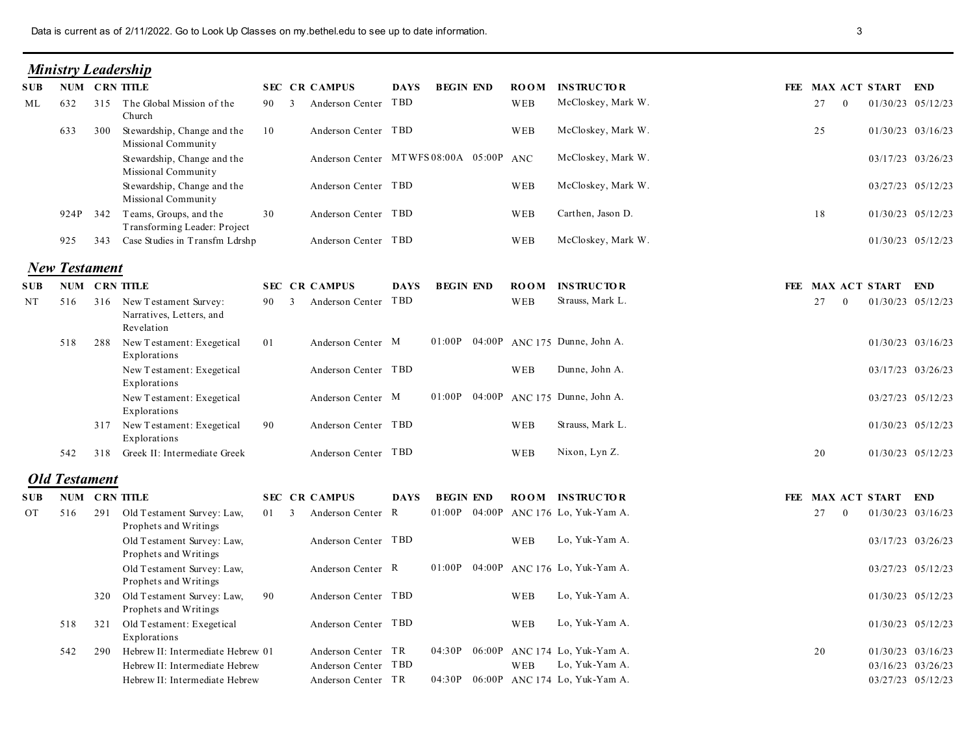| Data is current as of 2/11/2022. Go to Look Up Classes on my bethel.edu to see up to date information.<br><b>Ministry Leadership</b><br>NUM CRN TITLE<br><b>SEC CR CAMPUS</b><br><b>DAYS</b><br><b>BEGIN END</b><br><b>ROOM</b><br><b>INSTRUCTOR</b><br>SUB-<br>Anderson Center TBD<br>McCloskey, Mark W.<br>315 The Global Mission of the<br>WEB<br>632<br>90 3<br>ML<br>Church<br>McCloskey, Mark W.<br>Anderson Center TBD<br>Stewardship, Change and the<br>WEB<br>633<br>300<br>10<br>Missional Community<br>Anderson Center MTWFS 08:00A 05:00P ANC<br>McCloskey, Mark W.<br>Stewardship, Change and the<br>Missional Community<br>Stewardship, Change and the<br>McCloskey, Mark W.<br>Anderson Center TBD<br>WEB<br>Missional Community<br>Teams, Groups, and the<br>Anderson Center TBD<br>Carthen, Jason D.<br>30<br>WEB<br>924P 342<br>Transforming Leader: Project<br>McCloskey, Mark W.<br>343 Case Studies in Transfm Ldrshp<br>Anderson Center TBD<br>925<br>WEB<br><b>New Testament</b><br>NUM CRN TITLE<br><b>SEC CR CAMPUS</b><br><b>INSTRUCTOR</b><br>S U B<br><b>DAYS</b><br><b>BEGIN END</b><br><b>ROOM</b><br>Strauss, Mark L.<br>316 New Testament Survey:<br>Anderson Center TBD<br>NT<br>90 3<br>WEB<br>516<br>Narratives, Letters, and<br>Revelation<br>01:00P 04:00P ANC 175 Dunne, John A.<br>New Testament: Exegetical<br>Anderson Center M<br>518<br>288<br>01<br>Explorations<br>Anderson Center TBD<br>Dunne, John A.<br>New Testament: Exegetical<br>WEB<br>Explorations<br>01:00P 04:00P ANC 175 Dunne, John A.<br>New Testament: Exegetical<br>Anderson Center M<br>Explorations<br>Anderson Center TBD<br>Strauss, Mark L.<br>317 New Testament: Exegetical<br>90<br>WEB<br>Explorations<br>Nixon, Lyn Z.<br>318 Greek II: Intermediate Greek<br>Anderson Center TBD<br>542<br>WEB<br><b>Old Testament</b><br>NUM CRN TITLE<br><b>SEC CR CAMPUS</b><br><b>BEGIN END</b><br><b>ROOM INSTRUCTOR</b><br><b>DAYS</b><br>S U B<br>01:00P 04:00P ANC 176 Lo, Yuk-Yam A.<br>291 Old Testament Survey: Law,<br>Anderson Center R<br>516<br>01 3<br>OT<br>Prophets and Writings<br>Lo, Yuk-Yam A.<br>Anderson Center TBD<br>Old Testament Survey: Law,<br>WEB<br>Prophets and Writings<br>Old Testament Survey: Law,<br>01:00P 04:00P ANC 176 Lo, Yuk-Yam A.<br>Anderson Center R<br>Prophets and Writings |  |  |  |  |  | 3                                             |                                        |  |
|---------------------------------------------------------------------------------------------------------------------------------------------------------------------------------------------------------------------------------------------------------------------------------------------------------------------------------------------------------------------------------------------------------------------------------------------------------------------------------------------------------------------------------------------------------------------------------------------------------------------------------------------------------------------------------------------------------------------------------------------------------------------------------------------------------------------------------------------------------------------------------------------------------------------------------------------------------------------------------------------------------------------------------------------------------------------------------------------------------------------------------------------------------------------------------------------------------------------------------------------------------------------------------------------------------------------------------------------------------------------------------------------------------------------------------------------------------------------------------------------------------------------------------------------------------------------------------------------------------------------------------------------------------------------------------------------------------------------------------------------------------------------------------------------------------------------------------------------------------------------------------------------------------------------------------------------------------------------------------------------------------------------------------------------------------------------------------------------------------------------------------------------------------------------------------------------------------------------------------------------------------------------------------------------------------------------------------------|--|--|--|--|--|-----------------------------------------------|----------------------------------------|--|
|                                                                                                                                                                                                                                                                                                                                                                                                                                                                                                                                                                                                                                                                                                                                                                                                                                                                                                                                                                                                                                                                                                                                                                                                                                                                                                                                                                                                                                                                                                                                                                                                                                                                                                                                                                                                                                                                                                                                                                                                                                                                                                                                                                                                                                                                                                                                       |  |  |  |  |  |                                               |                                        |  |
|                                                                                                                                                                                                                                                                                                                                                                                                                                                                                                                                                                                                                                                                                                                                                                                                                                                                                                                                                                                                                                                                                                                                                                                                                                                                                                                                                                                                                                                                                                                                                                                                                                                                                                                                                                                                                                                                                                                                                                                                                                                                                                                                                                                                                                                                                                                                       |  |  |  |  |  | FEE MAX ACT START END                         |                                        |  |
|                                                                                                                                                                                                                                                                                                                                                                                                                                                                                                                                                                                                                                                                                                                                                                                                                                                                                                                                                                                                                                                                                                                                                                                                                                                                                                                                                                                                                                                                                                                                                                                                                                                                                                                                                                                                                                                                                                                                                                                                                                                                                                                                                                                                                                                                                                                                       |  |  |  |  |  | 27<br>$\theta$                                | 01/30/23 05/12/23                      |  |
|                                                                                                                                                                                                                                                                                                                                                                                                                                                                                                                                                                                                                                                                                                                                                                                                                                                                                                                                                                                                                                                                                                                                                                                                                                                                                                                                                                                                                                                                                                                                                                                                                                                                                                                                                                                                                                                                                                                                                                                                                                                                                                                                                                                                                                                                                                                                       |  |  |  |  |  | 25                                            | 01/30/23 03/16/23                      |  |
|                                                                                                                                                                                                                                                                                                                                                                                                                                                                                                                                                                                                                                                                                                                                                                                                                                                                                                                                                                                                                                                                                                                                                                                                                                                                                                                                                                                                                                                                                                                                                                                                                                                                                                                                                                                                                                                                                                                                                                                                                                                                                                                                                                                                                                                                                                                                       |  |  |  |  |  |                                               | 03/17/23 03/26/23<br>03/27/23 05/12/23 |  |
|                                                                                                                                                                                                                                                                                                                                                                                                                                                                                                                                                                                                                                                                                                                                                                                                                                                                                                                                                                                                                                                                                                                                                                                                                                                                                                                                                                                                                                                                                                                                                                                                                                                                                                                                                                                                                                                                                                                                                                                                                                                                                                                                                                                                                                                                                                                                       |  |  |  |  |  | 18                                            | 01/30/23 05/12/23                      |  |
|                                                                                                                                                                                                                                                                                                                                                                                                                                                                                                                                                                                                                                                                                                                                                                                                                                                                                                                                                                                                                                                                                                                                                                                                                                                                                                                                                                                                                                                                                                                                                                                                                                                                                                                                                                                                                                                                                                                                                                                                                                                                                                                                                                                                                                                                                                                                       |  |  |  |  |  |                                               | 01/30/23 05/12/23                      |  |
|                                                                                                                                                                                                                                                                                                                                                                                                                                                                                                                                                                                                                                                                                                                                                                                                                                                                                                                                                                                                                                                                                                                                                                                                                                                                                                                                                                                                                                                                                                                                                                                                                                                                                                                                                                                                                                                                                                                                                                                                                                                                                                                                                                                                                                                                                                                                       |  |  |  |  |  |                                               |                                        |  |
|                                                                                                                                                                                                                                                                                                                                                                                                                                                                                                                                                                                                                                                                                                                                                                                                                                                                                                                                                                                                                                                                                                                                                                                                                                                                                                                                                                                                                                                                                                                                                                                                                                                                                                                                                                                                                                                                                                                                                                                                                                                                                                                                                                                                                                                                                                                                       |  |  |  |  |  | FEE MAX ACT START END                         |                                        |  |
|                                                                                                                                                                                                                                                                                                                                                                                                                                                                                                                                                                                                                                                                                                                                                                                                                                                                                                                                                                                                                                                                                                                                                                                                                                                                                                                                                                                                                                                                                                                                                                                                                                                                                                                                                                                                                                                                                                                                                                                                                                                                                                                                                                                                                                                                                                                                       |  |  |  |  |  | 27<br>$\bf{0}$                                | 01/30/23 05/12/23                      |  |
|                                                                                                                                                                                                                                                                                                                                                                                                                                                                                                                                                                                                                                                                                                                                                                                                                                                                                                                                                                                                                                                                                                                                                                                                                                                                                                                                                                                                                                                                                                                                                                                                                                                                                                                                                                                                                                                                                                                                                                                                                                                                                                                                                                                                                                                                                                                                       |  |  |  |  |  |                                               | 01/30/23 03/16/23                      |  |
|                                                                                                                                                                                                                                                                                                                                                                                                                                                                                                                                                                                                                                                                                                                                                                                                                                                                                                                                                                                                                                                                                                                                                                                                                                                                                                                                                                                                                                                                                                                                                                                                                                                                                                                                                                                                                                                                                                                                                                                                                                                                                                                                                                                                                                                                                                                                       |  |  |  |  |  |                                               | 03/17/23 03/26/23                      |  |
|                                                                                                                                                                                                                                                                                                                                                                                                                                                                                                                                                                                                                                                                                                                                                                                                                                                                                                                                                                                                                                                                                                                                                                                                                                                                                                                                                                                                                                                                                                                                                                                                                                                                                                                                                                                                                                                                                                                                                                                                                                                                                                                                                                                                                                                                                                                                       |  |  |  |  |  |                                               | 03/27/23 05/12/23<br>01/30/23 05/12/23 |  |
|                                                                                                                                                                                                                                                                                                                                                                                                                                                                                                                                                                                                                                                                                                                                                                                                                                                                                                                                                                                                                                                                                                                                                                                                                                                                                                                                                                                                                                                                                                                                                                                                                                                                                                                                                                                                                                                                                                                                                                                                                                                                                                                                                                                                                                                                                                                                       |  |  |  |  |  | 20                                            | 01/30/23 05/12/23                      |  |
|                                                                                                                                                                                                                                                                                                                                                                                                                                                                                                                                                                                                                                                                                                                                                                                                                                                                                                                                                                                                                                                                                                                                                                                                                                                                                                                                                                                                                                                                                                                                                                                                                                                                                                                                                                                                                                                                                                                                                                                                                                                                                                                                                                                                                                                                                                                                       |  |  |  |  |  |                                               |                                        |  |
|                                                                                                                                                                                                                                                                                                                                                                                                                                                                                                                                                                                                                                                                                                                                                                                                                                                                                                                                                                                                                                                                                                                                                                                                                                                                                                                                                                                                                                                                                                                                                                                                                                                                                                                                                                                                                                                                                                                                                                                                                                                                                                                                                                                                                                                                                                                                       |  |  |  |  |  |                                               |                                        |  |
|                                                                                                                                                                                                                                                                                                                                                                                                                                                                                                                                                                                                                                                                                                                                                                                                                                                                                                                                                                                                                                                                                                                                                                                                                                                                                                                                                                                                                                                                                                                                                                                                                                                                                                                                                                                                                                                                                                                                                                                                                                                                                                                                                                                                                                                                                                                                       |  |  |  |  |  | FEE MAX ACT START END<br>27<br>$\overline{0}$ | 01/30/23 03/16/23                      |  |
|                                                                                                                                                                                                                                                                                                                                                                                                                                                                                                                                                                                                                                                                                                                                                                                                                                                                                                                                                                                                                                                                                                                                                                                                                                                                                                                                                                                                                                                                                                                                                                                                                                                                                                                                                                                                                                                                                                                                                                                                                                                                                                                                                                                                                                                                                                                                       |  |  |  |  |  |                                               | 03/17/23 03/26/23                      |  |
|                                                                                                                                                                                                                                                                                                                                                                                                                                                                                                                                                                                                                                                                                                                                                                                                                                                                                                                                                                                                                                                                                                                                                                                                                                                                                                                                                                                                                                                                                                                                                                                                                                                                                                                                                                                                                                                                                                                                                                                                                                                                                                                                                                                                                                                                                                                                       |  |  |  |  |  |                                               | 03/27/23 05/12/23                      |  |
| Lo, Yuk-Yam A.<br>320 Old Testament Survey: Law,<br>Anderson Center TBD<br>90<br>WEB<br>Prophets and Writings                                                                                                                                                                                                                                                                                                                                                                                                                                                                                                                                                                                                                                                                                                                                                                                                                                                                                                                                                                                                                                                                                                                                                                                                                                                                                                                                                                                                                                                                                                                                                                                                                                                                                                                                                                                                                                                                                                                                                                                                                                                                                                                                                                                                                         |  |  |  |  |  |                                               | 01/30/23 05/12/23                      |  |
| Lo, Yuk-Yam A.<br>Old Testament: Exegetical<br>Anderson Center TBD<br>518<br>WEB<br>321<br>Explorations                                                                                                                                                                                                                                                                                                                                                                                                                                                                                                                                                                                                                                                                                                                                                                                                                                                                                                                                                                                                                                                                                                                                                                                                                                                                                                                                                                                                                                                                                                                                                                                                                                                                                                                                                                                                                                                                                                                                                                                                                                                                                                                                                                                                                               |  |  |  |  |  |                                               | 01/30/23 05/12/23                      |  |
| Hebrew II: Intermediate Hebrew 01<br>04:30P 06:00P ANC 174 Lo, Yuk-Yam A.<br>Anderson Center TR<br>542<br>290                                                                                                                                                                                                                                                                                                                                                                                                                                                                                                                                                                                                                                                                                                                                                                                                                                                                                                                                                                                                                                                                                                                                                                                                                                                                                                                                                                                                                                                                                                                                                                                                                                                                                                                                                                                                                                                                                                                                                                                                                                                                                                                                                                                                                         |  |  |  |  |  | 20                                            | 01/30/23 03/16/23                      |  |
| Lo, Yuk-Yam A.<br>Hebrew II: Intermediate Hebrew<br>Anderson Center TBD<br>WEB<br>04:30P 06:00P ANC 174 Lo, Yuk-Yam A.<br>Hebrew II: Intermediate Hebrew<br>Anderson Center TR                                                                                                                                                                                                                                                                                                                                                                                                                                                                                                                                                                                                                                                                                                                                                                                                                                                                                                                                                                                                                                                                                                                                                                                                                                                                                                                                                                                                                                                                                                                                                                                                                                                                                                                                                                                                                                                                                                                                                                                                                                                                                                                                                        |  |  |  |  |  |                                               | 03/16/23 03/26/23<br>03/27/23 05/12/23 |  |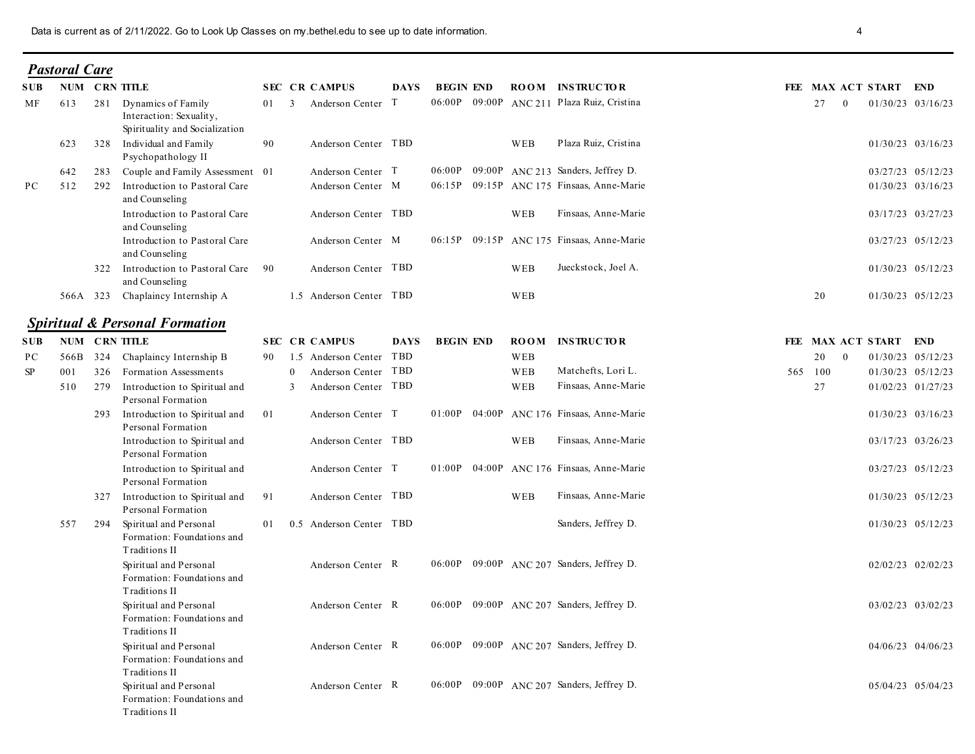|                  |                      |     | Data is current as of 2/11/2022. Go to Look Up Classes on my bethel.edu to see up to date information. |    |                                          |      |                  |     |                                                                  |         | 4                                      |  |
|------------------|----------------------|-----|--------------------------------------------------------------------------------------------------------|----|------------------------------------------|------|------------------|-----|------------------------------------------------------------------|---------|----------------------------------------|--|
|                  | <b>Pastoral Care</b> |     |                                                                                                        |    |                                          |      |                  |     |                                                                  |         |                                        |  |
| <b>SUB</b>       |                      |     | <b>NUM CRN TITLE</b>                                                                                   |    | <b>SEC CR CAMPUS</b>                     | DAYS | <b>BEGIN END</b> |     | <b>ROOM INSTRUCTOR</b>                                           |         | FEE MAX ACT START END                  |  |
| МF               | 613                  | 281 | Dynamics of Family<br>Interaction: Sexuality,<br>Spirituality and Socialization                        |    | 01 3<br>Anderson Center T                |      |                  |     | 06:00P 09:00P ANC 211 Plaza Ruiz, Cristina                       | 27      | 01/30/23 03/16/23<br>$\bf{0}$          |  |
|                  | 623                  |     | 328 Individual and Family<br>Psychopathology II                                                        | 90 | Anderson Center TBD                      |      |                  | WEB | Plaza Ruiz, Cristina                                             |         | 01/30/23 03/16/23                      |  |
|                  | 642                  |     | 283 Couple and Family Assessment 01                                                                    |    | Anderson Center T                        |      | 06:00P           |     | 09:00P ANC 213 Sanders, Jeffrey D.                               |         | 03/27/23 05/12/23                      |  |
| PC               | 512                  |     | 292 Introduction to Pastoral Care<br>and Counseling<br>Introduction to Pastoral Care                   |    | Anderson Center M<br>Anderson Center TBD |      |                  | WEB | 06:15P 09:15P ANC 175 Finsaas, Anne-Marie<br>Finsaas, Anne-Marie |         | 01/30/23 03/16/23<br>03/17/23 03/27/23 |  |
|                  |                      |     | and Counseling<br>Introduction to Pastoral Care                                                        |    | Anderson Center M                        |      |                  |     | 06:15P 09:15P ANC 175 Finsaas, Anne-Marie                        |         | 03/27/23 05/12/23                      |  |
|                  |                      |     | and Counseling<br>322 Introduction to Pastoral Care 90<br>and Counseling                               |    | Anderson Center TBD                      |      |                  | WEB | Jueckstock, Joel A.                                              |         | 01/30/23 05/12/23                      |  |
|                  |                      |     | 566A 323 Chaplaincy Internship A                                                                       |    | 1.5 Anderson Center TBD                  |      |                  | WEB |                                                                  | 20      | 01/30/23 05/12/23                      |  |
|                  |                      |     | <b>Spiritual &amp; Personal Formation</b>                                                              |    |                                          |      |                  |     |                                                                  |         |                                        |  |
|                  |                      |     | NUM CRN TITLE                                                                                          |    | <b>SEC CR CAMPUS</b>                     |      | <b>BEGIN END</b> |     | <b>ROOM INSTRUCTOR</b>                                           |         | FEE MAX ACT START END                  |  |
| <b>SUB</b><br>PС |                      |     | 566B 324 Chaplaincy Internship B                                                                       |    | 90 1.5 Anderson Center TBD               | DAYS |                  | WEB |                                                                  |         | 20 0<br>01/30/23 05/12/23              |  |
| <b>SP</b>        | 001                  |     | 326 Formation Assessments                                                                              |    | 0 Anderson Center TBD                    |      |                  | WEB | Matchefts, Lori L.                                               | 565 100 | 01/30/23 05/12/23                      |  |
|                  | 510                  |     | 279 Introduction to Spiritual and<br>Personal Formation                                                |    | 3 Anderson Center TBD                    |      |                  | WEB | Finsaas, Anne-Marie                                              | 27      | 01/02/23 01/27/23                      |  |
|                  |                      |     | 293 Introduction to Spiritual and<br>Personal Formation                                                | 01 | Anderson Center T                        |      |                  |     | 01:00P 04:00P ANC 176 Finsaas, Anne-Marie                        |         | 01/30/23 03/16/23                      |  |
|                  |                      |     | Introduction to Spiritual and<br>Personal Formation<br>Introduction to Spiritual and                   |    | Anderson Center TBD<br>Anderson Center T |      |                  | WEB | Finsaas, Anne-Marie<br>01:00P 04:00P ANC 176 Finsaas, Anne-Marie |         | 03/17/23 03/26/23<br>03/27/23 05/12/23 |  |
|                  |                      |     | Personal Formation<br>327 Introduction to Spiritual and                                                | 91 | Anderson Center TBD                      |      |                  | WEB | Finsaas, Anne-Marie                                              |         | 01/30/23 05/12/23                      |  |
|                  | 557                  |     | Personal Formation<br>294 Spiritual and Personal<br>Formation: Foundations and                         |    | 01 0.5 Anderson Center TBD               |      |                  |     | Sanders, Jeffrey D.                                              |         | 01/30/23 05/12/23                      |  |
|                  |                      |     | Traditions II<br>Spiritual and Personal                                                                |    | Anderson Center R                        |      |                  |     | 06:00P 09:00P ANC 207 Sanders, Jeffrey D.                        |         | 02/02/23 02/02/23                      |  |
|                  |                      |     | Formation: Foundations and<br>Traditions II<br>Spiritual and Personal                                  |    | Anderson Center R                        |      |                  |     | 06:00P 09:00P ANC 207 Sanders, Jeffrey D.                        |         | 03/02/23 03/02/23                      |  |
|                  |                      |     | Formation: Foundations and<br>Traditions II                                                            |    |                                          |      |                  |     |                                                                  |         |                                        |  |
|                  |                      |     | Spiritual and Personal<br>Formation: Foundations and<br>Traditions II                                  |    | Anderson Center R                        |      |                  |     | 06:00P 09:00P ANC 207 Sanders, Jeffrey D.                        |         | 04/06/23 04/06/23                      |  |
|                  |                      |     | Spiritual and Personal<br>Formation: Foundations and<br>Traditions II                                  |    | Anderson Center R                        |      |                  |     | 06:00P 09:00P ANC 207 Sanders, Jeffrey D.                        |         | 05/04/23 05/04/23                      |  |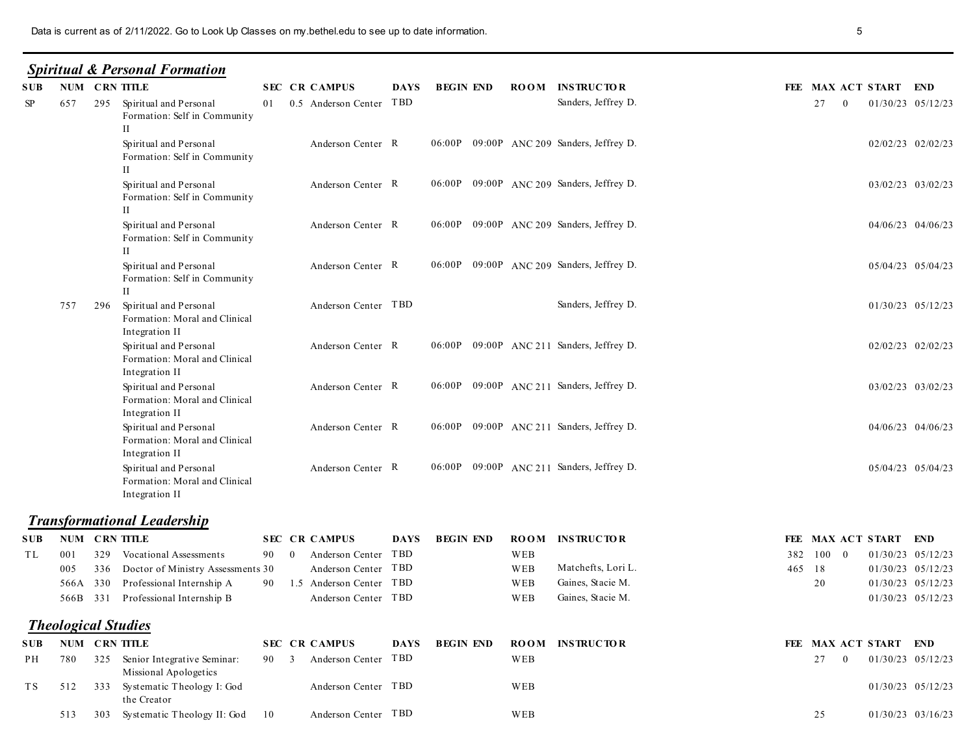|                            |                 | Data is current as of 2/11/2022. Go to Look Up Classes on my bethel.edu to see up to date information. |                      |                                                   |             |                  |             |                                           |        | 5                                             |                                        |  |
|----------------------------|-----------------|--------------------------------------------------------------------------------------------------------|----------------------|---------------------------------------------------|-------------|------------------|-------------|-------------------------------------------|--------|-----------------------------------------------|----------------------------------------|--|
|                            |                 | <b>Spiritual &amp; Personal Formation</b>                                                              |                      |                                                   |             |                  |             |                                           |        |                                               |                                        |  |
| SUB-<br>$\rm SP$<br>657    | NUM CRN TITLE   | 295 Spiritual and Personal<br>Formation: Self in Community                                             | <b>SEC CR CAMPUS</b> | 01 0.5 Anderson Center TBD                        | <b>DAYS</b> | <b>BEGIN END</b> | <b>ROOM</b> | <b>INSTRUCTOR</b><br>Sanders, Jeffrey D.  |        | FEE MAX ACT START END<br>27<br>$\overline{0}$ | 01/30/23 05/12/23                      |  |
|                            |                 | $\rm{II}$<br>Spiritual and Personal<br>Formation: Self in Community                                    |                      | Anderson Center R                                 |             |                  |             | 06:00P 09:00P ANC 209 Sanders, Jeffrey D. |        |                                               | 02/02/23 02/02/23                      |  |
|                            |                 | П<br>Spiritual and Personal<br>Formation: Self in Community<br>$_{\rm II}$                             |                      | Anderson Center R                                 |             |                  |             | 06:00P 09:00P ANC 209 Sanders, Jeffrey D. |        |                                               | 03/02/23 03/02/23                      |  |
|                            |                 | Spiritual and Personal<br>Formation: Self in Community<br>П                                            |                      | Anderson Center R                                 |             |                  |             | 06:00P 09:00P ANC 209 Sanders, Jeffrey D. |        |                                               | 04/06/23 04/06/23                      |  |
|                            |                 | Spiritual and Personal<br>Formation: Self in Community<br>H                                            |                      | Anderson Center R                                 |             |                  |             | 06:00P 09:00P ANC 209 Sanders, Jeffrey D. |        |                                               | 05/04/23 05/04/23                      |  |
| 757                        |                 | 296 Spiritual and Personal<br>Formation: Moral and Clinical<br>Integration II                          |                      | Anderson Center TBD                               |             |                  |             | Sanders, Jeffrey D.                       |        |                                               | 01/30/23 05/12/23                      |  |
|                            |                 | Spiritual and Personal<br>Formation: Moral and Clinical<br>Integration II                              |                      | Anderson Center R                                 |             |                  |             | 06:00P 09:00P ANC 211 Sanders, Jeffrey D. |        |                                               | 02/02/23 02/02/23                      |  |
|                            |                 | Spiritual and Personal<br>Formation: Moral and Clinical<br>Integration II                              |                      | Anderson Center R                                 |             |                  |             | 06:00P 09:00P ANC 211 Sanders, Jeffrey D. |        |                                               | 03/02/23 03/02/23                      |  |
|                            |                 | Spiritual and Personal<br>Formation: Moral and Clinical<br>Integration II                              |                      | Anderson Center R                                 |             |                  |             | 06:00P 09:00P ANC 211 Sanders, Jeffrey D. |        |                                               | 04/06/23 04/06/23                      |  |
|                            |                 | Spiritual and Personal<br>Formation: Moral and Clinical<br>Integration II                              |                      | Anderson Center R                                 |             |                  |             | 06:00P 09:00P ANC 211 Sanders, Jeffrey D. |        |                                               | 05/04/23 05/04/23                      |  |
|                            |                 | <b>Transformational Leadership</b>                                                                     |                      |                                                   |             |                  |             |                                           |        |                                               |                                        |  |
| SUB-                       | NUM CRN TITLE   |                                                                                                        | <b>SEC CR CAMPUS</b> |                                                   | <b>DAYS</b> | <b>BEGIN END</b> | <b>ROOM</b> | <b>INSTRUCTOR</b>                         |        | FEE MAX ACT START END                         |                                        |  |
| TL<br>001                  |                 | 329 Vocational Assessments                                                                             | 90 0                 | Anderson Center TBD                               |             |                  | WEB         |                                           |        | 382 100 0                                     | 01/30/23 05/12/23                      |  |
| 005                        | 336             | Doctor of Ministry Assessments 30                                                                      |                      | Anderson Center TBD                               |             |                  | WEB         | Matchefts, Lori L.                        | 465 18 |                                               | 01/30/23 05/12/23                      |  |
| 566A                       | 330<br>566B 331 | Professional Internship A<br>Professional Internship B                                                 |                      | 90 1.5 Anderson Center TBD<br>Anderson Center TBD |             |                  | WEB<br>WEB  | Gaines, Stacie M.<br>Gaines, Stacie M.    |        | 20                                            | 01/30/23 05/12/23<br>01/30/23 05/12/23 |  |
|                            |                 |                                                                                                        |                      |                                                   |             |                  |             |                                           |        |                                               |                                        |  |
| <b>Theological Studies</b> |                 |                                                                                                        |                      |                                                   |             |                  |             |                                           |        |                                               |                                        |  |
| SUB                        | NUM CRN TITLE   |                                                                                                        | <b>SEC CR CAMPUS</b> |                                                   | <b>DAYS</b> | <b>BEGIN END</b> | <b>ROOM</b> | <b>INSTRUCTOR</b>                         |        | FEE MAX ACT START END                         |                                        |  |
| PH<br>780<br>TS            |                 | 325 Senior Integrative Seminar:<br>Missional Apologetics<br>512 333 Systematic Theology I: God         | 90 3                 | Anderson Center TBD<br>Anderson Center TBD        |             |                  | WEB<br>WEB  |                                           |        | 27<br>$\bf{0}$                                | 01/30/23 05/12/23<br>01/30/23 05/12/23 |  |
|                            |                 | the Creator                                                                                            |                      |                                                   |             |                  |             |                                           |        |                                               |                                        |  |
| 513                        |                 | 303 Systematic Theology II: God 10                                                                     |                      | Anderson Center TBD                               |             |                  | WEB         |                                           |        | 25                                            | 01/30/23 03/16/23                      |  |